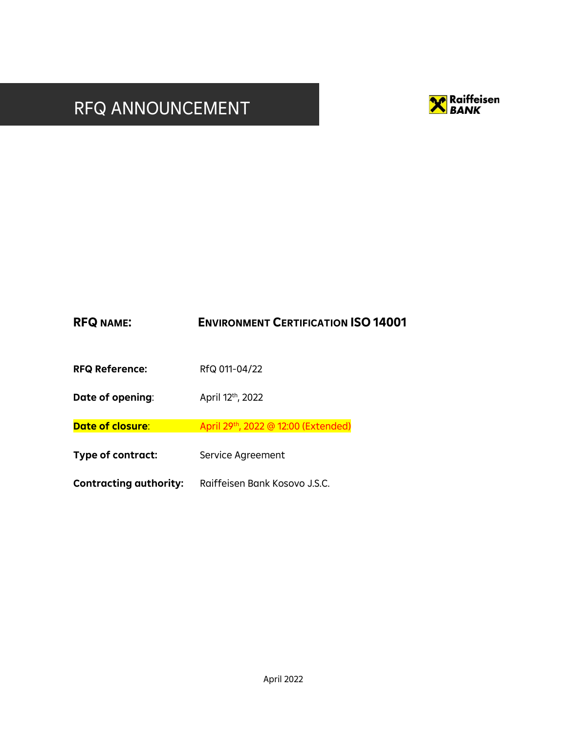# RFQ ANNOUNCEMENT



| <b>RFQ NAME:</b>              | <b>ENVIRONMENT CERTIFICATION ISO 14001</b> |  |
|-------------------------------|--------------------------------------------|--|
| <b>RFQ Reference:</b>         | RfQ 011-04/22                              |  |
| Date of opening:              | April 12th, 2022                           |  |
| Date of closure:              | April 29th, 2022 @ 12:00 (Extended)        |  |
| Type of contract:             | Service Agreement                          |  |
| <b>Contracting authority:</b> | Raiffeisen Bank Kosovo J.S.C.              |  |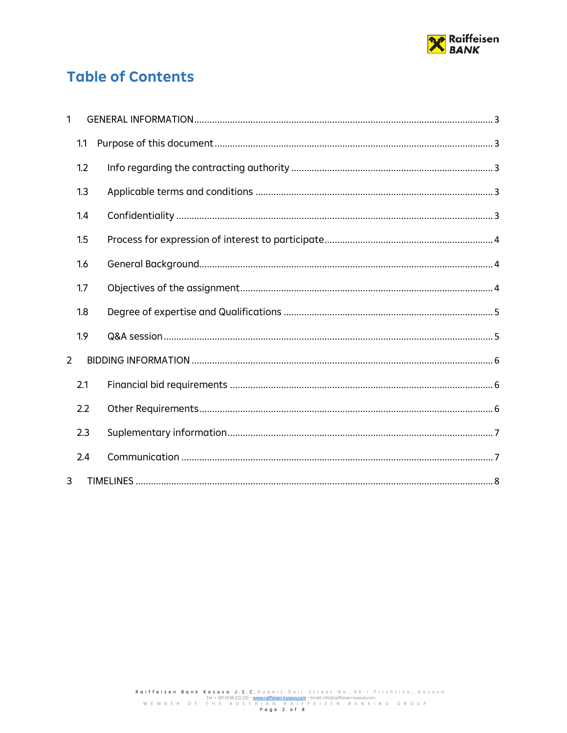

# **Table of Contents**

| 1              |     |  |
|----------------|-----|--|
|                | 1.1 |  |
|                | 1.2 |  |
|                | 1.3 |  |
|                | 1.4 |  |
|                | 1.5 |  |
|                | 1.6 |  |
|                | 1.7 |  |
|                | 1.8 |  |
|                | 1.9 |  |
| $\overline{2}$ |     |  |
|                | 2.1 |  |
|                | 2.2 |  |
|                | 2.3 |  |
|                | 2.4 |  |
| 3              |     |  |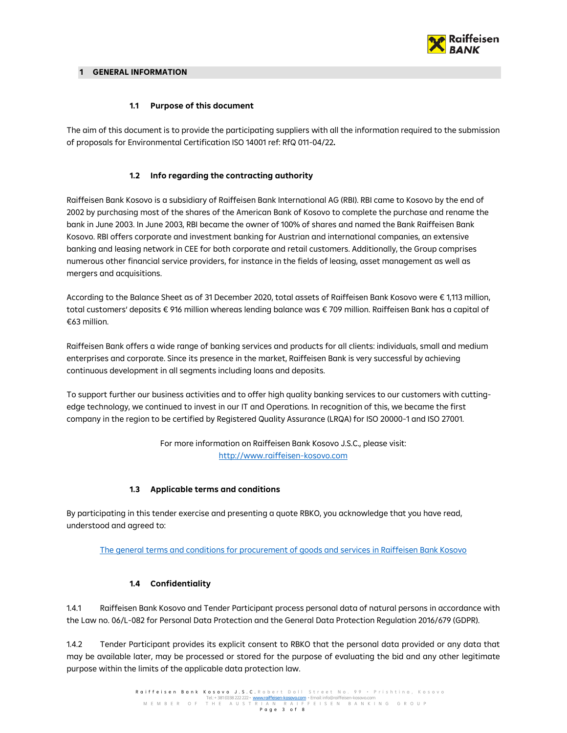

#### <span id="page-2-0"></span>**1 GENERAL INFORMATION**

## **1.1 Purpose of this document**

<span id="page-2-1"></span>The aim of this document is to provide the participating suppliers with all the information required to the submission of proposals for Environmental Certification ISO 14001 ref: RfQ 011-04/22**.** 

# **1.2 Info regarding the contracting authority**

<span id="page-2-2"></span>Raiffeisen Bank Kosovo is a subsidiary of Raiffeisen Bank International AG (RBI). RBI came to Kosovo by the end of 2002 by purchasing most of the shares of the American Bank of Kosovo to complete the purchase and rename the bank in June 2003. In June 2003, RBI became the owner of 100% of shares and named the Bank Raiffeisen Bank Kosovo. RBI offers corporate and investment banking for Austrian and international companies, an extensive banking and leasing network in CEE for both corporate and retail customers. Additionally, the Group comprises numerous other financial service providers, for instance in the fields of leasing, asset management as well as mergers and acquisitions.

According to the Balance Sheet as of 31 December 2020, total assets of Raiffeisen Bank Kosovo were € 1,113 million, total customers' deposits € 916 million whereas lending balance was € 709 million. Raiffeisen Bank has a capital of €63 million.

Raiffeisen Bank offers a wide range of banking services and products for all clients: individuals, small and medium enterprises and corporate. Since its presence in the market, Raiffeisen Bank is very successful by achieving continuous development in all segments including loans and deposits.

To support further our business activities and to offer high quality banking services to our customers with cuttingedge technology, we continued to invest in our IT and Operations. In recognition of this, we became the first company in the region to be certified by Registered Quality Assurance (LRQA) for ISO 20000-1 and ISO 27001.

> For more information on Raiffeisen Bank Kosovo J.S.C., please visit: [http://www.raiffeisen-kosovo.com](http://www.raiffeisen-kosovo.com/)

# **1.3 Applicable terms and conditions**

<span id="page-2-3"></span>By participating in this tender exercise and presenting a quote RBKO, you acknowledge that you have read, understood and agreed to:

[The general terms and conditions for procurement of goods and services in Raiffeisen Bank Kosovo](https://www.raiffeisen-kosovo.com/Uploads/Richtext/Files/GTCS_EN.pdf)

# **1.4 Confidentiality**

<span id="page-2-4"></span>1.4.1 Raiffeisen Bank Kosovo and Tender Participant process personal data of natural persons in accordance with the Law no. 06/L-082 for Personal Data Protection and the General Data Protection Regulation 2016/679 (GDPR).

1.4.2 Tender Participant provides its explicit consent to RBKO that the personal data provided or any data that may be available later, may be processed or stored for the purpose of evaluating the bid and any other legitimate purpose within the limits of the applicable data protection law.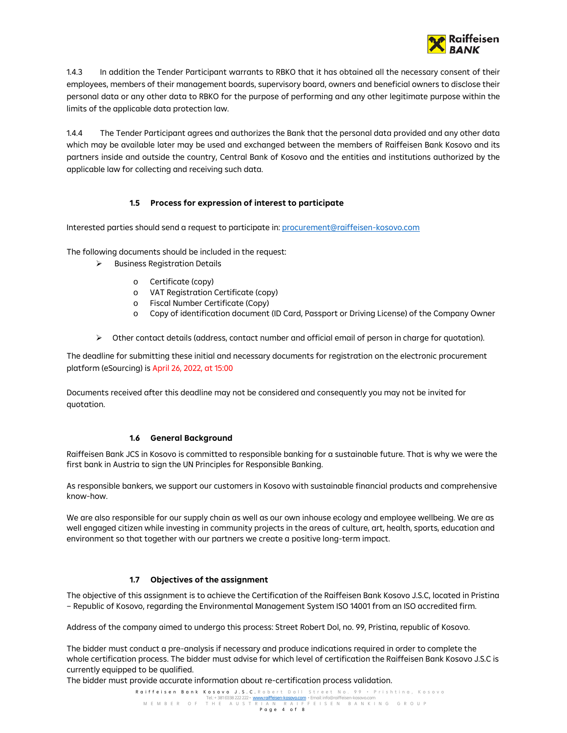

1.4.3 In addition the Tender Participant warrants to RBKO that it has obtained all the necessary consent of their employees, members of their management boards, supervisory board, owners and beneficial owners to disclose their personal data or any other data to RBKO for the purpose of performing and any other legitimate purpose within the limits of the applicable data protection law.

1.4.4 The Tender Participant agrees and authorizes the Bank that the personal data provided and any other data which may be available later may be used and exchanged between the members of Raiffeisen Bank Kosovo and its partners inside and outside the country, Central Bank of Kosovo and the entities and institutions authorized by the applicable law for collecting and receiving such data.

# **1.5 Process for expression of interest to participate**

<span id="page-3-0"></span>Interested parties should send a request to participate in[: procurement@raiffeisen-kosovo.com](mailto:procurement@raiffeisen-kosovo.com)

The following documents should be included in the request:

- $\triangleright$  Business Registration Details
	- o Certificate (copy)
	- o VAT Registration Certificate (copy)
	- o Fiscal Number Certificate (Copy)
	- o Copy of identification document (ID Card, Passport or Driving License) of the Company Owner
- $\triangleright$  Other contact details (address, contact number and official email of person in charge for quotation).

The deadline for submitting these initial and necessary documents for registration on the electronic procurement platform (eSourcing) is April 26, 2022, at 15:00

Documents received after this deadline may not be considered and consequently you may not be invited for quotation.

#### **1.6 General Background**

<span id="page-3-1"></span>Raiffeisen Bank JCS in Kosovo is committed to responsible banking for a sustainable future. That is why we were the first bank in Austria to sign the UN Principles for Responsible Banking.

As responsible bankers, we support our customers in Kosovo with sustainable financial products and comprehensive know-how.

We are also responsible for our supply chain as well as our own inhouse ecology and employee wellbeing. We are as well engaged citizen while investing in community projects in the areas of culture, art, health, sports, education and environment so that together with our partners we create a positive long-term impact.

#### **1.7 Objectives of the assignment**

<span id="page-3-2"></span>The objective of this assignment is to achieve the Certification of the Raiffeisen Bank Kosovo J.S.C, located in Pristina – Republic of Kosovo, regarding the Environmental Management System ISO 14001 from an ISO accredited firm.

Address of the company aimed to undergo this process: Street Robert Dol, no. 99, Pristina, republic of Kosovo.

The bidder must conduct a pre-analysis if necessary and produce indications required in order to complete the whole certification process. The bidder must advise for which level of certification the Raiffeisen Bank Kosovo J.S.C is currently equipped to be qualified.

The bidder must provide accurate information about re-certification process validation.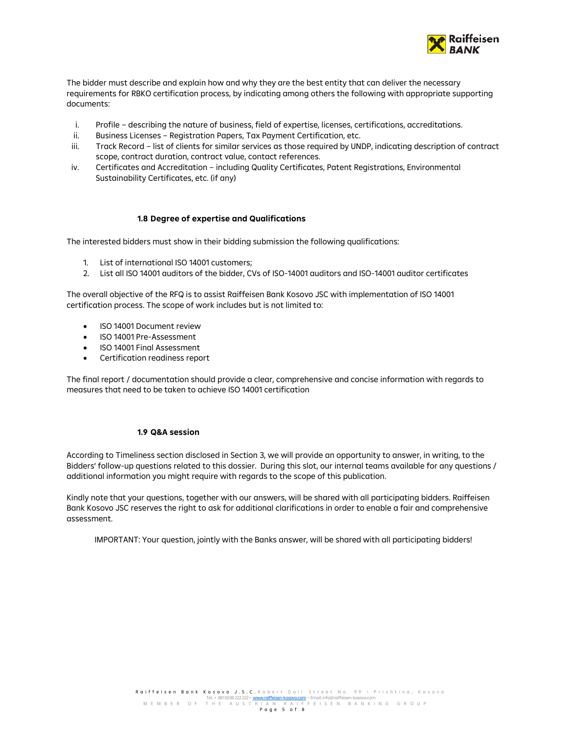

The bidder must describe and explain how and why they are the best entity that can deliver the necessary requirements for RBKO certification process, by indicating among others the following with appropriate supporting documents:

- i. Profile describing the nature of business, field of expertise, licenses, certifications, accreditations.
- ii. Business Licenses Registration Papers, Tax Payment Certification, etc.
- iii. Track Record list of clients for similar services as those required by UNDP, indicating description of contract scope, contract duration, contract value, contact references.
- iv. Certificates and Accreditation including Quality Certificates, Patent Registrations, Environmental Sustainability Certificates, etc. (if any)

#### **1.8 Degree of expertise and Qualifications**

<span id="page-4-0"></span>The interested bidders must show in their bidding submission the following qualifications:

- 1. List of international ISO 14001 customers;
- 2. List all ISO 14001 auditors of the bidder, CVs of ISO-14001 auditors and ISO-14001 auditor certificates

The overall objective of the RFQ is to assist Raiffeisen Bank Kosovo JSC with implementation of ISO 14001 certification process. The scope of work includes but is not limited to:

- ISO 14001 Document review
- ISO 14001 Pre-Assessment
- ISO 14001 Final Assessment
- Certification readiness report

The final report / documentation should provide a clear, comprehensive and concise information with regards to measures that need to be taken to achieve ISO 14001 certification

#### **1.9 Q&A session**

<span id="page-4-1"></span>According to Timeliness section disclosed in Section 3, we will provide an opportunity to answer, in writing, to the Bidders' follow-up questions related to this dossier. During this slot, our internal teams available for any questions / additional information you might require with regards to the scope of this publication.

Kindly note that your questions, together with our answers, will be shared with all participating bidders. Raiffeisen Bank Kosovo JSC reserves the right to ask for additional clarifications in order to enable a fair and comprehensive assessment.

IMPORTANT: Your question, jointly with the Banks answer, will be shared with all participating bidders!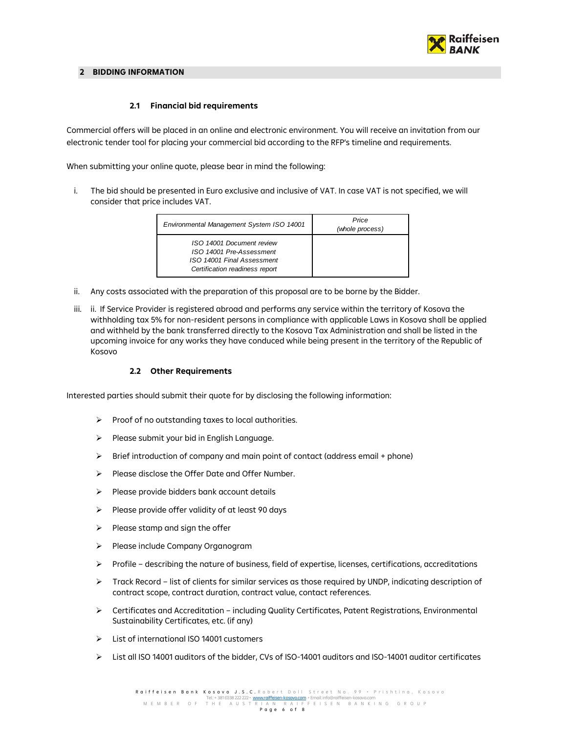

#### <span id="page-5-1"></span><span id="page-5-0"></span>**2 BIDDING INFORMATION**

## **2.1 Financial bid requirements**

Commercial offers will be placed in an online and electronic environment. You will receive an invitation from our electronic tender tool for placing your commercial bid according to the RFP's timeline and requirements.

When submitting your online quote, please bear in mind the following:

i. The bid should be presented in Euro exclusive and inclusive of VAT. In case VAT is not specified, we will consider that price includes VAT.

| Environmental Management System ISO 14001                                                                             | Price<br>(whole process) |
|-----------------------------------------------------------------------------------------------------------------------|--------------------------|
| ISO 14001 Document review<br>ISO 14001 Pre-Assessment<br>ISO 14001 Final Assessment<br>Certification readiness report |                          |

- ii. Any costs associated with the preparation of this proposal are to be borne by the Bidder.
- iii. ii. If Service Provider is registered abroad and performs any service within the territory of Kosova the withholding tax 5% for non-resident persons in compliance with applicable Laws in Kosova shall be applied and withheld by the bank transferred directly to the Kosova Tax Administration and shall be listed in the upcoming invoice for any works they have conduced while being present in the territory of the Republic of Kosovo

#### **2.2 Other Requirements**

<span id="page-5-2"></span>Interested parties should submit their quote for by disclosing the following information:

- $\triangleright$  Proof of no outstanding taxes to local authorities.
- $\triangleright$  Please submit your bid in English Language.
- $\triangleright$  Brief introduction of company and main point of contact (address email + phone)
- $\triangleright$  Please disclose the Offer Date and Offer Number.
- $\triangleright$  Please provide bidders bank account details
- $\triangleright$  Please provide offer validity of at least 90 days
- $\triangleright$  Please stamp and sign the offer
- Please include Company Organogram
- $\triangleright$  Profile describing the nature of business, field of expertise, licenses, certifications, accreditations
- $\triangleright$  Track Record list of clients for similar services as those required by UNDP, indicating description of contract scope, contract duration, contract value, contact references.
- Certificates and Accreditation including Quality Certificates, Patent Registrations, Environmental Sustainability Certificates, etc. (if any)
- List of international ISO 14001 customers
- $\triangleright$  List all ISO 14001 auditors of the bidder, CVs of ISO-14001 auditors and ISO-14001 auditor certificates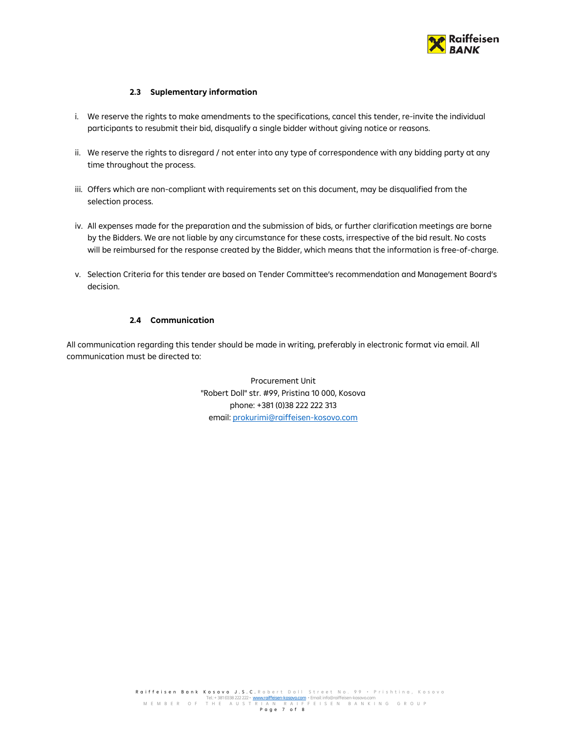

# **2.3 Suplementary information**

- <span id="page-6-0"></span>i. We reserve the rights to make amendments to the specifications, cancel this tender, re-invite the individual participants to resubmit their bid, disqualify a single bidder without giving notice or reasons.
- ii. We reserve the rights to disregard / not enter into any type of correspondence with any bidding party at any time throughout the process.
- iii. Offers which are non-compliant with requirements set on this document, may be disqualified from the selection process.
- iv. All expenses made for the preparation and the submission of bids, or further clarification meetings are borne by the Bidders. We are not liable by any circumstance for these costs, irrespective of the bid result. No costs will be reimbursed for the response created by the Bidder, which means that the information is free-of-charge.
- v. Selection Criteria for this tender are based on Tender Committee's recommendation and Management Board's decision.

#### **2.4 Communication**

<span id="page-6-1"></span>All communication regarding this tender should be made in writing, preferably in electronic format via email. All communication must be directed to:

> Procurement Unit "Robert Doll" str. #99, Pristina 10 000, Kosova phone: +381 (0)38 222 222 313 email[: prokurimi@raiffeisen-kosovo.com](mailto:prokurimi@raiffeisen-kosovo.com)